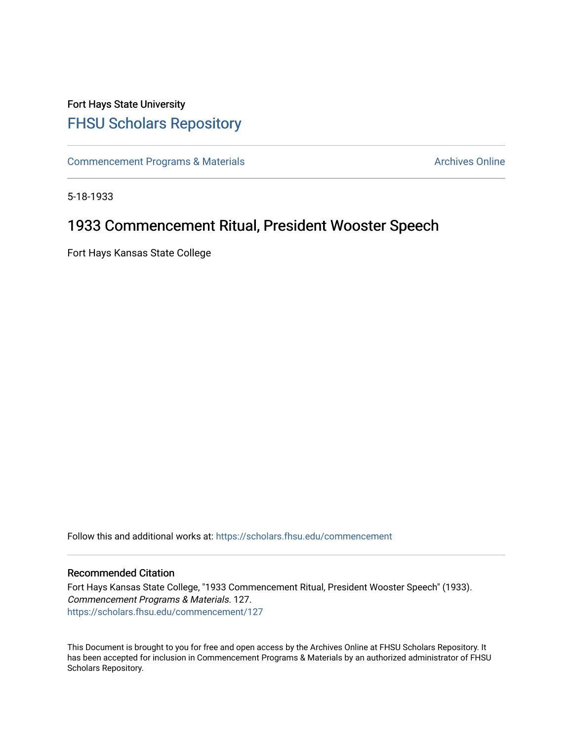## Fort Hays State University [FHSU Scholars Repository](https://scholars.fhsu.edu/)

[Commencement Programs & Materials](https://scholars.fhsu.edu/commencement) **Archives Online** Archives Online

5-18-1933

## 1933 Commencement Ritual, President Wooster Speech

Fort Hays Kansas State College

Follow this and additional works at: [https://scholars.fhsu.edu/commencement](https://scholars.fhsu.edu/commencement?utm_source=scholars.fhsu.edu%2Fcommencement%2F127&utm_medium=PDF&utm_campaign=PDFCoverPages)

## Recommended Citation

Fort Hays Kansas State College, "1933 Commencement Ritual, President Wooster Speech" (1933). Commencement Programs & Materials. 127. [https://scholars.fhsu.edu/commencement/127](https://scholars.fhsu.edu/commencement/127?utm_source=scholars.fhsu.edu%2Fcommencement%2F127&utm_medium=PDF&utm_campaign=PDFCoverPages)

This Document is brought to you for free and open access by the Archives Online at FHSU Scholars Repository. It has been accepted for inclusion in Commencement Programs & Materials by an authorized administrator of FHSU Scholars Repository.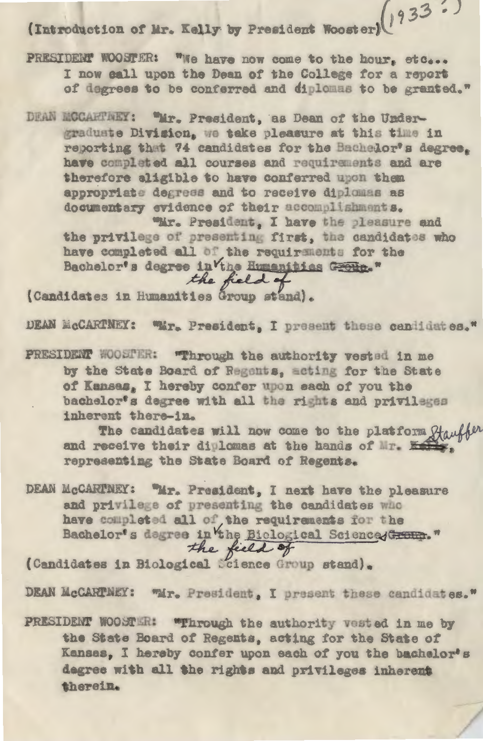(Introduction of Mr. Kelly by President Wooster) (1933.)

PRESIDENT WOOSTER: "We have now come to the hour, etc... I now call upon the Dean of the College for a report of degrees to be conferred and diplomas to be granted."

DEAN MCCARTNEY: "Mr. President, as Dean of the Undergraduate Division, we take pleasure at this time in reporting that 74 candidates for the Bachelor's degree. have completed all courses and requirements and are therefore aligible to have conferred upon them appropriate degrees and to receive diplomas as documentary evidence of their accomplishments.

"Mr. President, I have the pleasure and the privilege of presenting first, the candidates who have completed all of the requirements for the Bachelor's degree in the Humanities Group."<br>the field of the stand).

DEAN McCARTNEY: "Mr. President, I present these candidates."

PRESIDENT WOOSTER: "Through the authority vested in me by the State Board of Regents, acting for the State of Kansas. I hereby confer upon each of you the bachelor's degree with all the rights and privileges inherent there-in.

The candidates will now come to the platform Haugher and receive their diplomas at the hands of Mr. Here. representing the State Board of Regents.

DEAN McCARTNEY: "Mr. President, I next have the pleasure and privilege of presenting the candidates who have completed all of the requirements for the Bachelor's degree in the Biological Science (Second).

DEAN MCCARTNEY: "Mr. President, I present these candidates."

PRESIDENT WOOSTER: "Through the authority vested in me by the State Board of Regents, acting for the State of Kansas, I hereby confer upon each of you the bachelor's degree with all the rights and privileges inherent therein.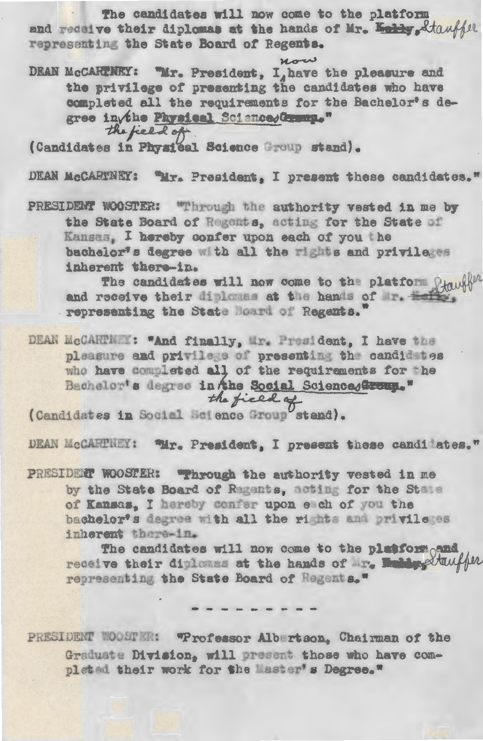The candidates will now come to the platform and receive their diplomas at the hands of Mr. Ently Stauffer representing the State Board of Regents.

now DEAN McCARTNEY: "Mr. President, I, have the pleasure and the privilege of presenting the candidates who have completed all the requirements for the Bachelor's degree in the Physical Science/Gramm."

the field of

(Candidates in Physical Science Group stand).

DEAN McCARTNEY: "Mr. President, I present these candidates."

PRESIDENT WOOSTER: "Through the authority vested in me by the State Board of Regents, acting for the State of Kansas, I hereby confer upon each of you the bachelor's degree with all the rights and privileges inherent there-in.

The candidates will now come to the platform Stauther and receive their diplomas at the hands of Mr. Helle, representing the State Hoard of Regents."

DEAN McCARTNEY: "And finally, Mr. President, I have the pleasure and privilege of presenting the candidates who have completed all of the requirements for the Bachelor's degrae in the Social Science, Greens." the field of

(Candidates in Social Science Group stand).

DEAN McCARTNEY: "Mr. President, I present these candi ates."

PRESIDENT WOOSTER: "Through the authority vested in me

by the State Board of Regents, acting for the State of Kansas. I hereby confer upon each of you the bachelor's degree with all the rights and privileges inherent there-in.

The candidates will now come to the platformonad receive their diplomas at the hands of mr. Hutter diauffer representing the State Board of Regents."

PRESIDENT WOOSTER: "Professor Albertson, Chairman of the Graduate Division, will present those who have complated their work for the Master's Degree."